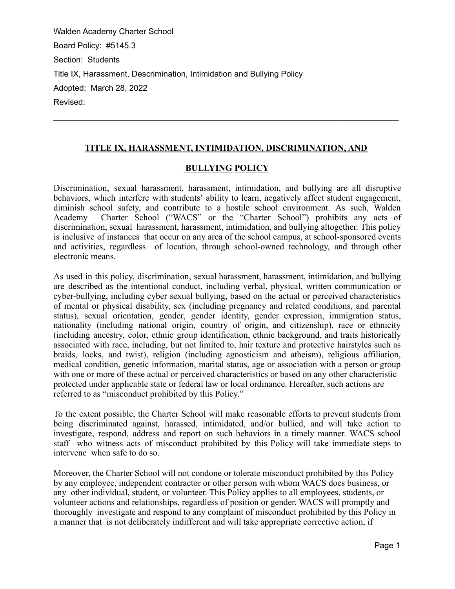## **TITLE IX, HARASSMENT, INTIMIDATION, DISCRIMINATION, AND**

## **BULLYING POLICY**

Discrimination, sexual harassment, harassment, intimidation, and bullying are all disruptive behaviors, which interfere with students' ability to learn, negatively affect student engagement, diminish school safety, and contribute to a hostile school environment. As such, Walden Academy Charter School ("WACS" or the "Charter School") prohibits any acts of discrimination, sexual harassment, harassment, intimidation, and bullying altogether. This policy is inclusive of instances that occur on any area of the school campus, at school-sponsored events and activities, regardless of location, through school-owned technology, and through other electronic means.

As used in this policy, discrimination, sexual harassment, harassment, intimidation, and bullying are described as the intentional conduct, including verbal, physical, written communication or cyber-bullying, including cyber sexual bullying, based on the actual or perceived characteristics of mental or physical disability, sex (including pregnancy and related conditions, and parental status), sexual orientation, gender, gender identity, gender expression, immigration status, nationality (including national origin, country of origin, and citizenship), race or ethnicity (including ancestry, color, ethnic group identification, ethnic background, and traits historically associated with race, including, but not limited to, hair texture and protective hairstyles such as braids, locks, and twist), religion (including agnosticism and atheism), religious affiliation, medical condition, genetic information, marital status, age or association with a person or group with one or more of these actual or perceived characteristics or based on any other characteristic protected under applicable state or federal law or local ordinance. Hereafter, such actions are referred to as "misconduct prohibited by this Policy."

To the extent possible, the Charter School will make reasonable efforts to prevent students from being discriminated against, harassed, intimidated, and/or bullied, and will take action to investigate, respond, address and report on such behaviors in a timely manner. WACS school staff who witness acts of misconduct prohibited by this Policy will take immediate steps to intervene when safe to do so.

Moreover, the Charter School will not condone or tolerate misconduct prohibited by this Policy by any employee, independent contractor or other person with whom WACS does business, or any other individual, student, or volunteer. This Policy applies to all employees, students, or volunteer actions and relationships, regardless of position or gender. WACS will promptly and thoroughly investigate and respond to any complaint of misconduct prohibited by this Policy in a manner that is not deliberately indifferent and will take appropriate corrective action, if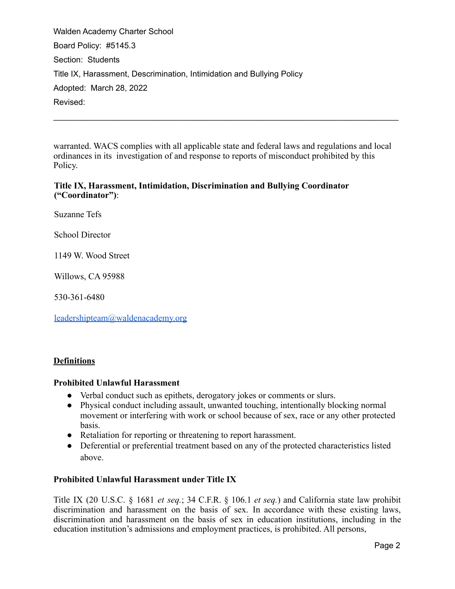warranted. WACS complies with all applicable state and federal laws and regulations and local ordinances in its investigation of and response to reports of misconduct prohibited by this Policy.

## **Title IX, Harassment, Intimidation, Discrimination and Bullying Coordinator ("Coordinator")**:

Suzanne Tefs

School Director

1149 W. Wood Street

Willows, CA 95988

530-361-6480

[leadershipteam@waldenacademy.org](mailto:leadershipteam@waldenacademy.org)

#### **Definitions**

#### **Prohibited Unlawful Harassment**

- Verbal conduct such as epithets, derogatory jokes or comments or slurs.
- Physical conduct including assault, unwanted touching, intentionally blocking normal movement or interfering with work or school because of sex, race or any other protected basis.
- Retaliation for reporting or threatening to report harassment.
- Deferential or preferential treatment based on any of the protected characteristics listed above.

#### **Prohibited Unlawful Harassment under Title IX**

Title IX (20 U.S.C. § 1681 *et seq.*; 34 C.F.R. § 106.1 *et seq.*) and California state law prohibit discrimination and harassment on the basis of sex. In accordance with these existing laws, discrimination and harassment on the basis of sex in education institutions, including in the education institution's admissions and employment practices, is prohibited. All persons,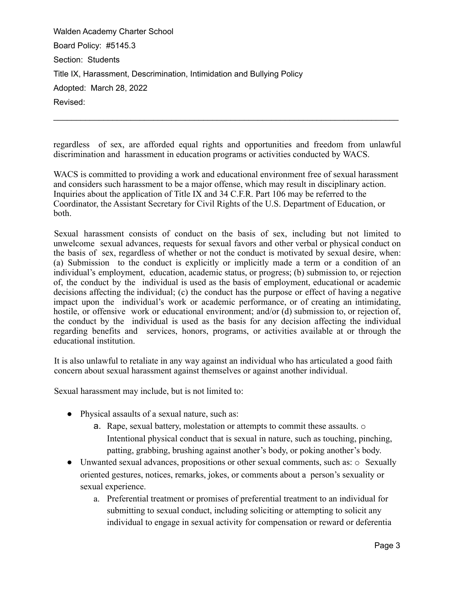regardless of sex, are afforded equal rights and opportunities and freedom from unlawful discrimination and harassment in education programs or activities conducted by WACS.

WACS is committed to providing a work and educational environment free of sexual harassment and considers such harassment to be a major offense, which may result in disciplinary action. Inquiries about the application of Title IX and 34 C.F.R. Part 106 may be referred to the Coordinator, the Assistant Secretary for Civil Rights of the U.S. Department of Education, or both.

Sexual harassment consists of conduct on the basis of sex, including but not limited to unwelcome sexual advances, requests for sexual favors and other verbal or physical conduct on the basis of sex, regardless of whether or not the conduct is motivated by sexual desire, when: (a) Submission to the conduct is explicitly or implicitly made a term or a condition of an individual's employment, education, academic status, or progress; (b) submission to, or rejection of, the conduct by the individual is used as the basis of employment, educational or academic decisions affecting the individual; (c) the conduct has the purpose or effect of having a negative impact upon the individual's work or academic performance, or of creating an intimidating, hostile, or offensive work or educational environment; and/or (d) submission to, or rejection of, the conduct by the individual is used as the basis for any decision affecting the individual regarding benefits and services, honors, programs, or activities available at or through the educational institution.

It is also unlawful to retaliate in any way against an individual who has articulated a good faith concern about sexual harassment against themselves or against another individual.

Sexual harassment may include, but is not limited to:

- Physical assaults of a sexual nature, such as:
	- a. Rape, sexual battery, molestation or attempts to commit these assaults. o Intentional physical conduct that is sexual in nature, such as touching, pinching, patting, grabbing, brushing against another's body, or poking another's body.
- Unwanted sexual advances, propositions or other sexual comments, such as:  $\circ$  Sexually oriented gestures, notices, remarks, jokes, or comments about a person's sexuality or sexual experience.
	- a. Preferential treatment or promises of preferential treatment to an individual for submitting to sexual conduct, including soliciting or attempting to solicit any individual to engage in sexual activity for compensation or reward or deferentia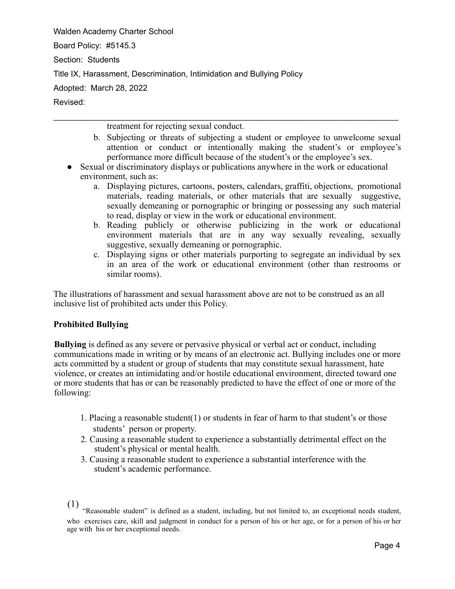Walden Academy Charter School

Board Policy: #5145.3

Section: Students

Title IX, Harassment, Descrimination, Intimidation and Bullying Policy

Adopted: March 28, 2022

Revised:

treatment for rejecting sexual conduct.

- b. Subjecting or threats of subjecting a student or employee to unwelcome sexual attention or conduct or intentionally making the student's or employee's performance more difficult because of the student's or the employee's sex.
- Sexual or discriminatory displays or publications anywhere in the work or educational environment, such as:

\_\_\_\_\_\_\_\_\_\_\_\_\_\_\_\_\_\_\_\_\_\_\_\_\_\_\_\_\_\_\_\_\_\_\_\_\_\_\_\_\_\_\_\_\_\_\_\_\_\_\_\_\_\_\_\_\_\_\_\_\_\_\_\_\_\_\_\_\_\_\_\_\_\_\_\_

- a. Displaying pictures, cartoons, posters, calendars, graffiti, objections, promotional materials, reading materials, or other materials that are sexually suggestive, sexually demeaning or pornographic or bringing or possessing any such material to read, display or view in the work or educational environment.
- b. Reading publicly or otherwise publicizing in the work or educational environment materials that are in any way sexually revealing, sexually suggestive, sexually demeaning or pornographic.
- c. Displaying signs or other materials purporting to segregate an individual by sex in an area of the work or educational environment (other than restrooms or similar rooms).

The illustrations of harassment and sexual harassment above are not to be construed as an all inclusive list of prohibited acts under this Policy.

## **Prohibited Bullying**

**Bullying** is defined as any severe or pervasive physical or verbal act or conduct, including communications made in writing or by means of an electronic act. Bullying includes one or more acts committed by a student or group of students that may constitute sexual harassment, hate violence, or creates an intimidating and/or hostile educational environment, directed toward one or more students that has or can be reasonably predicted to have the effect of one or more of the following:

- 1. Placing a reasonable student(1) or students in fear of harm to that student's or those students' person or property.
- 2. Causing a reasonable student to experience a substantially detrimental effect on the student's physical or mental health.
- 3. Causing a reasonable student to experience a substantial interference with the student's academic performance.

<sup>(1)</sup> "Reasonable student" is defined as a student, including, but not limited to, an exceptional needs student, who exercises care, skill and judgment in conduct for a person of his or her age, or for a person of his or her age with his or her exceptional needs.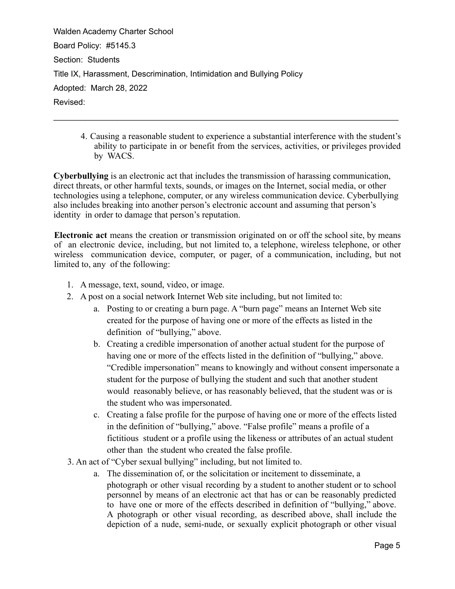4. Causing a reasonable student to experience a substantial interference with the student's ability to participate in or benefit from the services, activities, or privileges provided by WACS.

**Cyberbullying** is an electronic act that includes the transmission of harassing communication, direct threats, or other harmful texts, sounds, or images on the Internet, social media, or other technologies using a telephone, computer, or any wireless communication device. Cyberbullying also includes breaking into another person's electronic account and assuming that person's identity in order to damage that person's reputation.

**Electronic act** means the creation or transmission originated on or off the school site, by means of an electronic device, including, but not limited to, a telephone, wireless telephone, or other wireless communication device, computer, or pager, of a communication, including, but not limited to, any of the following:

- 1. A message, text, sound, video, or image.
- 2. A post on a social network Internet Web site including, but not limited to:
	- a. Posting to or creating a burn page. A "burn page" means an Internet Web site created for the purpose of having one or more of the effects as listed in the definition of "bullying," above.
	- b. Creating a credible impersonation of another actual student for the purpose of having one or more of the effects listed in the definition of "bullying," above. "Credible impersonation" means to knowingly and without consent impersonate a student for the purpose of bullying the student and such that another student would reasonably believe, or has reasonably believed, that the student was or is the student who was impersonated.
	- c. Creating a false profile for the purpose of having one or more of the effects listed in the definition of "bullying," above. "False profile" means a profile of a fictitious student or a profile using the likeness or attributes of an actual student other than the student who created the false profile.
- 3. An act of "Cyber sexual bullying" including, but not limited to.
	- a. The dissemination of, or the solicitation or incitement to disseminate, a photograph or other visual recording by a student to another student or to school personnel by means of an electronic act that has or can be reasonably predicted to have one or more of the effects described in definition of "bullying," above. A photograph or other visual recording, as described above, shall include the depiction of a nude, semi-nude, or sexually explicit photograph or other visual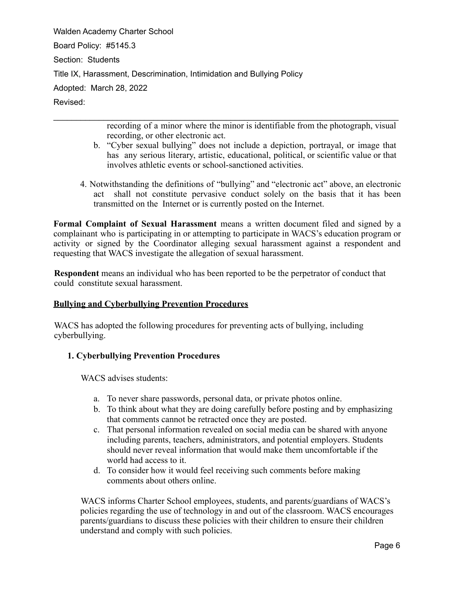> recording of a minor where the minor is identifiable from the photograph, visual recording, or other electronic act.

- b. "Cyber sexual bullying" does not include a depiction, portrayal, or image that has any serious literary, artistic, educational, political, or scientific value or that involves athletic events or school-sanctioned activities.
- 4. Notwithstanding the definitions of "bullying" and "electronic act" above, an electronic act shall not constitute pervasive conduct solely on the basis that it has been transmitted on the Internet or is currently posted on the Internet.

**Formal Complaint of Sexual Harassment** means a written document filed and signed by a complainant who is participating in or attempting to participate in WACS's education program or activity or signed by the Coordinator alleging sexual harassment against a respondent and requesting that WACS investigate the allegation of sexual harassment.

**Respondent** means an individual who has been reported to be the perpetrator of conduct that could constitute sexual harassment.

#### **Bullying and Cyberbullying Prevention Procedures**

WACS has adopted the following procedures for preventing acts of bullying, including cyberbullying.

## **1. Cyberbullying Prevention Procedures**

WACS advises students:

- a. To never share passwords, personal data, or private photos online.
- b. To think about what they are doing carefully before posting and by emphasizing that comments cannot be retracted once they are posted.
- c. That personal information revealed on social media can be shared with anyone including parents, teachers, administrators, and potential employers. Students should never reveal information that would make them uncomfortable if the world had access to it.
- d. To consider how it would feel receiving such comments before making comments about others online.

WACS informs Charter School employees, students, and parents/guardians of WACS's policies regarding the use of technology in and out of the classroom. WACS encourages parents/guardians to discuss these policies with their children to ensure their children understand and comply with such policies.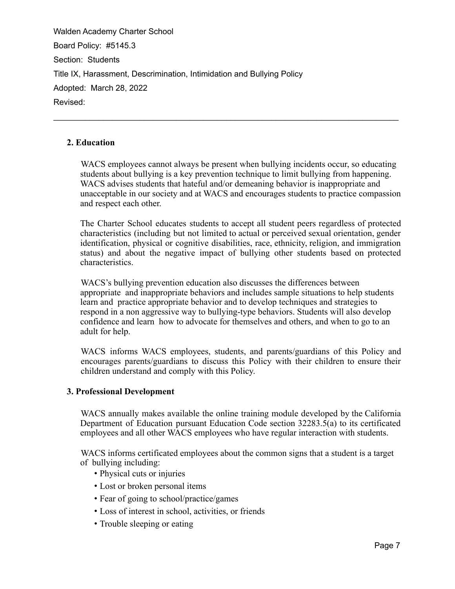## **2. Education**

WACS employees cannot always be present when bullying incidents occur, so educating students about bullying is a key prevention technique to limit bullying from happening. WACS advises students that hateful and/or demeaning behavior is inappropriate and unacceptable in our society and at WACS and encourages students to practice compassion and respect each other.

The Charter School educates students to accept all student peers regardless of protected characteristics (including but not limited to actual or perceived sexual orientation, gender identification, physical or cognitive disabilities, race, ethnicity, religion, and immigration status) and about the negative impact of bullying other students based on protected characteristics.

WACS's bullying prevention education also discusses the differences between appropriate and inappropriate behaviors and includes sample situations to help students learn and practice appropriate behavior and to develop techniques and strategies to respond in a non aggressive way to bullying-type behaviors. Students will also develop confidence and learn how to advocate for themselves and others, and when to go to an adult for help.

WACS informs WACS employees, students, and parents/guardians of this Policy and encourages parents/guardians to discuss this Policy with their children to ensure their children understand and comply with this Policy.

#### **3. Professional Development**

WACS annually makes available the online training module developed by the California Department of Education pursuant Education Code section 32283.5(a) to its certificated employees and all other WACS employees who have regular interaction with students.

WACS informs certificated employees about the common signs that a student is a target of bullying including:

- Physical cuts or injuries
- Lost or broken personal items
- Fear of going to school/practice/games
- Loss of interest in school, activities, or friends
- Trouble sleeping or eating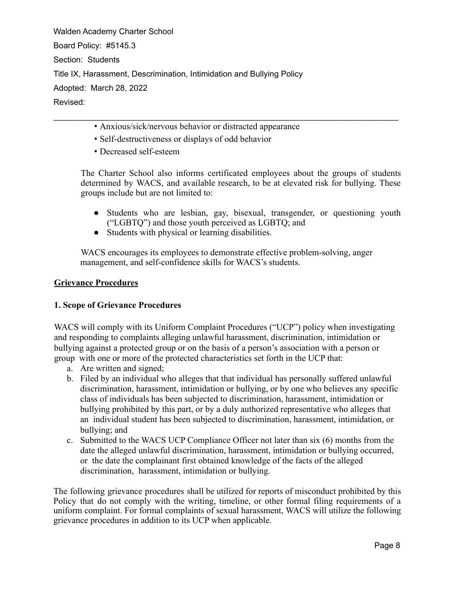- Anxious/sick/nervous behavior or distracted appearance
- Self-destructiveness or displays of odd behavior
- Decreased self-esteem

The Charter School also informs certificated employees about the groups of students determined by WACS, and available research, to be at elevated risk for bullying. These groups include but are not limited to:

\_\_\_\_\_\_\_\_\_\_\_\_\_\_\_\_\_\_\_\_\_\_\_\_\_\_\_\_\_\_\_\_\_\_\_\_\_\_\_\_\_\_\_\_\_\_\_\_\_\_\_\_\_\_\_\_\_\_\_\_\_\_\_\_\_\_\_\_\_\_\_\_\_\_\_\_

- Students who are lesbian, gay, bisexual, transgender, or questioning youth ("LGBTQ") and those youth perceived as LGBTQ; and
- Students with physical or learning disabilities.

WACS encourages its employees to demonstrate effective problem-solving, anger management, and self-confidence skills for WACS's students.

#### **Grievance Procedures**

#### **1. Scope of Grievance Procedures**

WACS will comply with its Uniform Complaint Procedures ("UCP") policy when investigating and responding to complaints alleging unlawful harassment, discrimination, intimidation or bullying against a protected group or on the basis of a person's association with a person or group with one or more of the protected characteristics set forth in the UCP that:

- a. Are written and signed;
- b. Filed by an individual who alleges that that individual has personally suffered unlawful discrimination, harassment, intimidation or bullying, or by one who believes any specific class of individuals has been subjected to discrimination, harassment, intimidation or bullying prohibited by this part, or by a duly authorized representative who alleges that an individual student has been subjected to discrimination, harassment, intimidation, or bullying; and
- c. Submitted to the WACS UCP Compliance Officer not later than six (6) months from the date the alleged unlawful discrimination, harassment, intimidation or bullying occurred, or the date the complainant first obtained knowledge of the facts of the alleged discrimination, harassment, intimidation or bullying.

The following grievance procedures shall be utilized for reports of misconduct prohibited by this Policy that do not comply with the writing, timeline, or other formal filing requirements of a uniform complaint. For formal complaints of sexual harassment, WACS will utilize the following grievance procedures in addition to its UCP when applicable.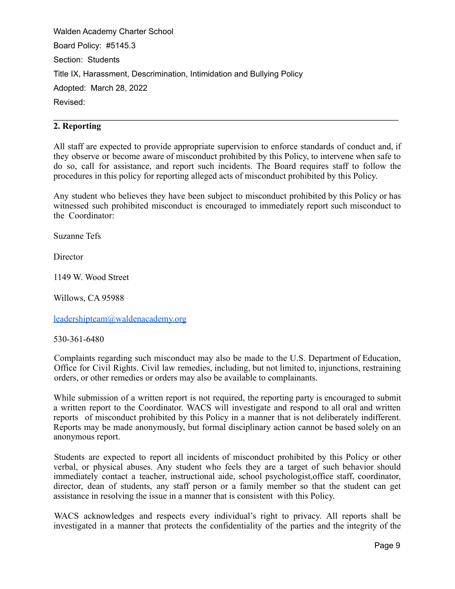## **2. Reporting**

All staff are expected to provide appropriate supervision to enforce standards of conduct and, if they observe or become aware of misconduct prohibited by this Policy, to intervene when safe to do so, call for assistance, and report such incidents. The Board requires staff to follow the procedures in this policy for reporting alleged acts of misconduct prohibited by this Policy.

\_\_\_\_\_\_\_\_\_\_\_\_\_\_\_\_\_\_\_\_\_\_\_\_\_\_\_\_\_\_\_\_\_\_\_\_\_\_\_\_\_\_\_\_\_\_\_\_\_\_\_\_\_\_\_\_\_\_\_\_\_\_\_\_\_\_\_\_\_\_\_\_\_\_\_\_

Any student who believes they have been subject to misconduct prohibited by this Policy or has witnessed such prohibited misconduct is encouraged to immediately report such misconduct to the Coordinator:

Suzanne Tefs

**Director** 

1149 W. Wood Street

Willows, CA 95988

[leadershipteam@waldenacademy.org](mailto:leadershipteam@waldenacademy.org)

530-361-6480

Complaints regarding such misconduct may also be made to the U.S. Department of Education, Office for Civil Rights. Civil law remedies, including, but not limited to, injunctions, restraining orders, or other remedies or orders may also be available to complainants.

While submission of a written report is not required, the reporting party is encouraged to submit a written report to the Coordinator. WACS will investigate and respond to all oral and written reports of misconduct prohibited by this Policy in a manner that is not deliberately indifferent. Reports may be made anonymously, but formal disciplinary action cannot be based solely on an anonymous report.

Students are expected to report all incidents of misconduct prohibited by this Policy or other verbal, or physical abuses. Any student who feels they are a target of such behavior should immediately contact a teacher, instructional aide, school psychologist,office staff, coordinator, director, dean of students, any staff person or a family member so that the student can get assistance in resolving the issue in a manner that is consistent with this Policy.

WACS acknowledges and respects every individual's right to privacy. All reports shall be investigated in a manner that protects the confidentiality of the parties and the integrity of the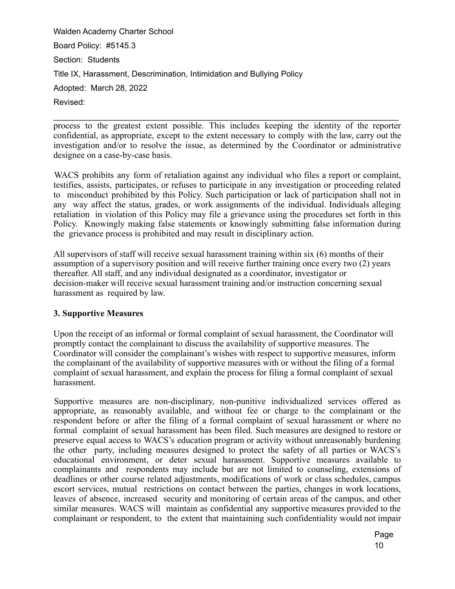process to the greatest extent possible. This includes keeping the identity of the reporter confidential, as appropriate, except to the extent necessary to comply with the law, carry out the investigation and/or to resolve the issue, as determined by the Coordinator or administrative designee on a case-by-case basis.

WACS prohibits any form of retaliation against any individual who files a report or complaint, testifies, assists, participates, or refuses to participate in any investigation or proceeding related to misconduct prohibited by this Policy. Such participation or lack of participation shall not in any way affect the status, grades, or work assignments of the individual. Individuals alleging retaliation in violation of this Policy may file a grievance using the procedures set forth in this Policy. Knowingly making false statements or knowingly submitting false information during the grievance process is prohibited and may result in disciplinary action.

All supervisors of staff will receive sexual harassment training within six (6) months of their assumption of a supervisory position and will receive further training once every two (2) years thereafter. All staff, and any individual designated as a coordinator, investigator or decision-maker will receive sexual harassment training and/or instruction concerning sexual harassment as required by law.

#### **3. Supportive Measures**

Upon the receipt of an informal or formal complaint of sexual harassment, the Coordinator will promptly contact the complainant to discuss the availability of supportive measures. The Coordinator will consider the complainant's wishes with respect to supportive measures, inform the complainant of the availability of supportive measures with or without the filing of a formal complaint of sexual harassment, and explain the process for filing a formal complaint of sexual harassment.

Supportive measures are non-disciplinary, non-punitive individualized services offered as appropriate, as reasonably available, and without fee or charge to the complainant or the respondent before or after the filing of a formal complaint of sexual harassment or where no formal complaint of sexual harassment has been filed. Such measures are designed to restore or preserve equal access to WACS's education program or activity without unreasonably burdening the other party, including measures designed to protect the safety of all parties or WACS's educational environment, or deter sexual harassment. Supportive measures available to complainants and respondents may include but are not limited to counseling, extensions of deadlines or other course related adjustments, modifications of work or class schedules, campus escort services, mutual restrictions on contact between the parties, changes in work locations, leaves of absence, increased security and monitoring of certain areas of the campus, and other similar measures. WACS will maintain as confidential any supportive measures provided to the complainant or respondent, to the extent that maintaining such confidentiality would not impair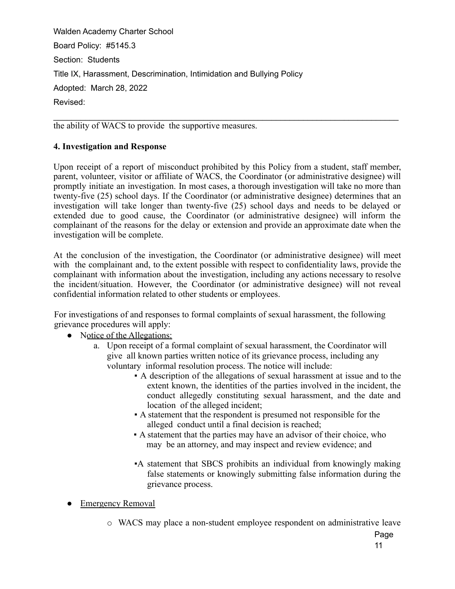the ability of WACS to provide the supportive measures.

## **4. Investigation and Response**

Upon receipt of a report of misconduct prohibited by this Policy from a student, staff member, parent, volunteer, visitor or affiliate of WACS, the Coordinator (or administrative designee) will promptly initiate an investigation. In most cases, a thorough investigation will take no more than twenty-five (25) school days. If the Coordinator (or administrative designee) determines that an investigation will take longer than twenty-five (25) school days and needs to be delayed or extended due to good cause, the Coordinator (or administrative designee) will inform the complainant of the reasons for the delay or extension and provide an approximate date when the investigation will be complete.

\_\_\_\_\_\_\_\_\_\_\_\_\_\_\_\_\_\_\_\_\_\_\_\_\_\_\_\_\_\_\_\_\_\_\_\_\_\_\_\_\_\_\_\_\_\_\_\_\_\_\_\_\_\_\_\_\_\_\_\_\_\_\_\_\_\_\_\_\_\_\_\_\_\_\_\_

At the conclusion of the investigation, the Coordinator (or administrative designee) will meet with the complainant and, to the extent possible with respect to confidentiality laws, provide the complainant with information about the investigation, including any actions necessary to resolve the incident/situation. However, the Coordinator (or administrative designee) will not reveal confidential information related to other students or employees.

For investigations of and responses to formal complaints of sexual harassment, the following grievance procedures will apply:

- Notice of the Allegations:
	- a. Upon receipt of a formal complaint of sexual harassment, the Coordinator will give all known parties written notice of its grievance process, including any voluntary informal resolution process. The notice will include:
		- A description of the allegations of sexual harassment at issue and to the extent known, the identities of the parties involved in the incident, the conduct allegedly constituting sexual harassment, and the date and location of the alleged incident;
		- A statement that the respondent is presumed not responsible for the alleged conduct until a final decision is reached;
		- A statement that the parties may have an advisor of their choice, who may be an attorney, and may inspect and review evidence; and
		- ▪A statement that SBCS prohibits an individual from knowingly making false statements or knowingly submitting false information during the grievance process.
- Emergency Removal
	- o WACS may place a non-student employee respondent on administrative leave

Page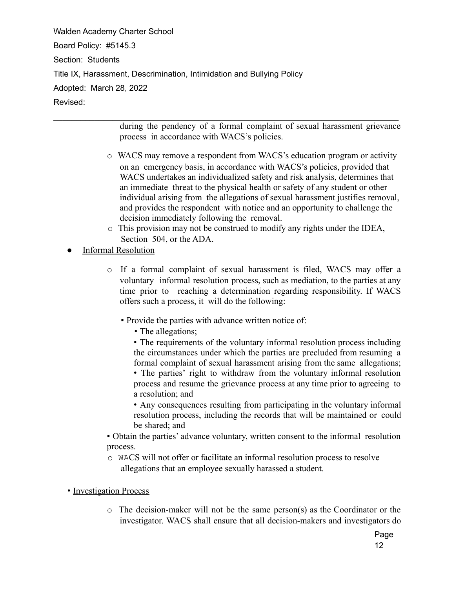Walden Academy Charter School

Board Policy: #5145.3

Section: Students

Title IX, Harassment, Descrimination, Intimidation and Bullying Policy

Adopted: March 28, 2022

Revised:

during the pendency of a formal complaint of sexual harassment grievance process in accordance with WACS's policies.

\_\_\_\_\_\_\_\_\_\_\_\_\_\_\_\_\_\_\_\_\_\_\_\_\_\_\_\_\_\_\_\_\_\_\_\_\_\_\_\_\_\_\_\_\_\_\_\_\_\_\_\_\_\_\_\_\_\_\_\_\_\_\_\_\_\_\_\_\_\_\_\_\_\_\_\_

- o WACS may remove a respondent from WACS's education program or activity on an emergency basis, in accordance with WACS's policies, provided that WACS undertakes an individualized safety and risk analysis, determines that an immediate threat to the physical health or safety of any student or other individual arising from the allegations of sexual harassment justifies removal, and provides the respondent with notice and an opportunity to challenge the decision immediately following the removal.
- o This provision may not be construed to modify any rights under the IDEA, Section 504, or the ADA.
- Informal Resolution
	- o If a formal complaint of sexual harassment is filed, WACS may offer a voluntary informal resolution process, such as mediation, to the parties at any time prior to reaching a determination regarding responsibility. If WACS offers such a process, it will do the following:
		- Provide the parties with advance written notice of:
			- The allegations:

• The requirements of the voluntary informal resolution process including the circumstances under which the parties are precluded from resuming a formal complaint of sexual harassment arising from the same allegations; • The parties' right to withdraw from the voluntary informal resolution process and resume the grievance process at any time prior to agreeing to

a resolution; and

• Any consequences resulting from participating in the voluntary informal resolution process, including the records that will be maintained or could be shared; and

▪ Obtain the parties' advance voluntary, written consent to the informal resolution process.

o WACS will not offer or facilitate an informal resolution process to resolve allegations that an employee sexually harassed a student.

## • Investigation Process

 $\circ$  The decision-maker will not be the same person(s) as the Coordinator or the investigator. WACS shall ensure that all decision-makers and investigators do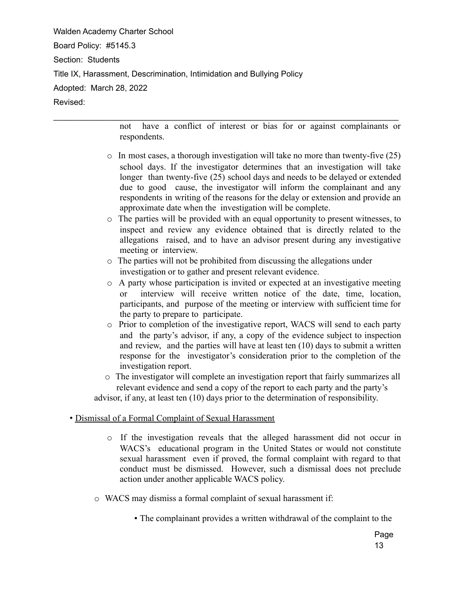> not have a conflict of interest or bias for or against complainants or respondents.

- $\circ$  In most cases, a thorough investigation will take no more than twenty-five (25) school days. If the investigator determines that an investigation will take longer than twenty-five (25) school days and needs to be delayed or extended due to good cause, the investigator will inform the complainant and any respondents in writing of the reasons for the delay or extension and provide an approximate date when the investigation will be complete.
- o The parties will be provided with an equal opportunity to present witnesses, to inspect and review any evidence obtained that is directly related to the allegations raised, and to have an advisor present during any investigative meeting or interview.
- o The parties will not be prohibited from discussing the allegations under investigation or to gather and present relevant evidence.
- o A party whose participation is invited or expected at an investigative meeting or interview will receive written notice of the date, time, location, participants, and purpose of the meeting or interview with sufficient time for the party to prepare to participate.
- o Prior to completion of the investigative report, WACS will send to each party and the party's advisor, if any, a copy of the evidence subject to inspection and review, and the parties will have at least ten (10) days to submit a written response for the investigator's consideration prior to the completion of the investigation report.
- o The investigator will complete an investigation report that fairly summarizes all relevant evidence and send a copy of the report to each party and the party's advisor, if any, at least ten (10) days prior to the determination of responsibility.
- Dismissal of a Formal Complaint of Sexual Harassment
	- o If the investigation reveals that the alleged harassment did not occur in WACS's educational program in the United States or would not constitute sexual harassment even if proved, the formal complaint with regard to that conduct must be dismissed. However, such a dismissal does not preclude action under another applicable WACS policy.
	- o WACS may dismiss a formal complaint of sexual harassment if:
		- The complainant provides a written withdrawal of the complaint to the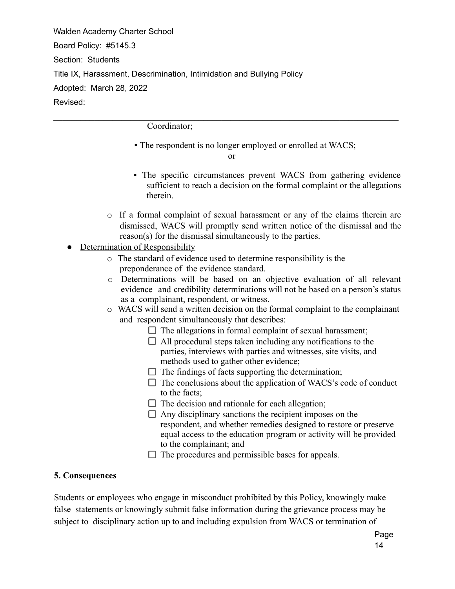Coordinator;

▪ The respondent is no longer employed or enrolled at WACS;

or

\_\_\_\_\_\_\_\_\_\_\_\_\_\_\_\_\_\_\_\_\_\_\_\_\_\_\_\_\_\_\_\_\_\_\_\_\_\_\_\_\_\_\_\_\_\_\_\_\_\_\_\_\_\_\_\_\_\_\_\_\_\_\_\_\_\_\_\_\_\_\_\_\_\_\_\_

- The specific circumstances prevent WACS from gathering evidence sufficient to reach a decision on the formal complaint or the allegations therein.
- o If a formal complaint of sexual harassment or any of the claims therein are dismissed, WACS will promptly send written notice of the dismissal and the reason(s) for the dismissal simultaneously to the parties.
- Determination of Responsibility
	- o The standard of evidence used to determine responsibility is the preponderance of the evidence standard.
	- o Determinations will be based on an objective evaluation of all relevant evidence and credibility determinations will not be based on a person's status as a complainant, respondent, or witness.
	- o WACS will send a written decision on the formal complaint to the complainant and respondent simultaneously that describes:
		- $\Box$  The allegations in formal complaint of sexual harassment;
		- $\Box$  All procedural steps taken including any notifications to the parties, interviews with parties and witnesses, site visits, and methods used to gather other evidence;
		- $\Box$  The findings of facts supporting the determination;
		- $\Box$  The conclusions about the application of WACS's code of conduct to the facts;
		- $\Box$  The decision and rationale for each allegation;
		- $\Box$  Any disciplinary sanctions the recipient imposes on the respondent, and whether remedies designed to restore or preserve equal access to the education program or activity will be provided to the complainant; and
		- $\Box$  The procedures and permissible bases for appeals.

# **5. Consequences**

Students or employees who engage in misconduct prohibited by this Policy, knowingly make false statements or knowingly submit false information during the grievance process may be subject to disciplinary action up to and including expulsion from WACS or termination of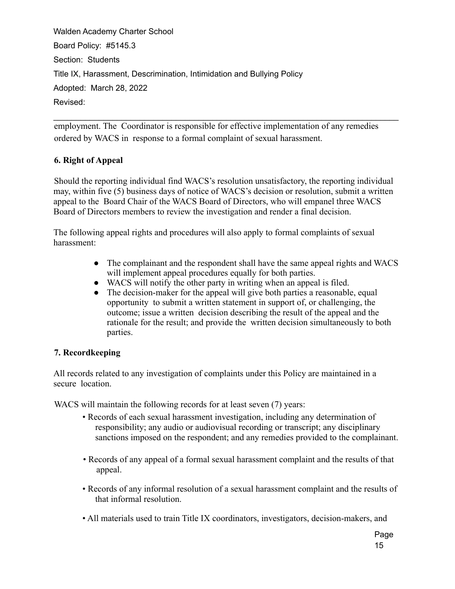employment. The Coordinator is responsible for effective implementation of any remedies ordered by WACS in response to a formal complaint of sexual harassment.

\_\_\_\_\_\_\_\_\_\_\_\_\_\_\_\_\_\_\_\_\_\_\_\_\_\_\_\_\_\_\_\_\_\_\_\_\_\_\_\_\_\_\_\_\_\_\_\_\_\_\_\_\_\_\_\_\_\_\_\_\_\_\_\_\_\_\_\_\_\_\_\_\_\_\_\_

# **6. Right of Appeal**

Should the reporting individual find WACS's resolution unsatisfactory, the reporting individual may, within five (5) business days of notice of WACS's decision or resolution, submit a written appeal to the Board Chair of the WACS Board of Directors, who will empanel three WACS Board of Directors members to review the investigation and render a final decision.

The following appeal rights and procedures will also apply to formal complaints of sexual harassment:

- The complainant and the respondent shall have the same appeal rights and WACS will implement appeal procedures equally for both parties.
- WACS will notify the other party in writing when an appeal is filed.
- The decision-maker for the appeal will give both parties a reasonable, equal opportunity to submit a written statement in support of, or challenging, the outcome; issue a written decision describing the result of the appeal and the rationale for the result; and provide the written decision simultaneously to both parties.

## **7. Recordkeeping**

All records related to any investigation of complaints under this Policy are maintained in a secure location.

WACS will maintain the following records for at least seven (7) years:

- Records of each sexual harassment investigation, including any determination of responsibility; any audio or audiovisual recording or transcript; any disciplinary sanctions imposed on the respondent; and any remedies provided to the complainant.
- Records of any appeal of a formal sexual harassment complaint and the results of that appeal.
- Records of any informal resolution of a sexual harassment complaint and the results of that informal resolution.
- All materials used to train Title IX coordinators, investigators, decision-makers, and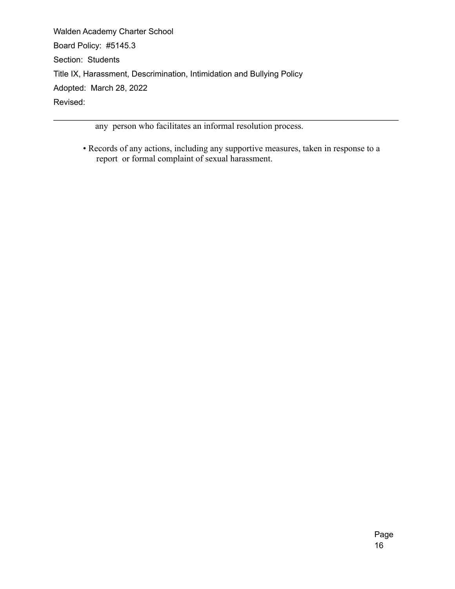any person who facilitates an informal resolution process.

• Records of any actions, including any supportive measures, taken in response to a report or formal complaint of sexual harassment.

\_\_\_\_\_\_\_\_\_\_\_\_\_\_\_\_\_\_\_\_\_\_\_\_\_\_\_\_\_\_\_\_\_\_\_\_\_\_\_\_\_\_\_\_\_\_\_\_\_\_\_\_\_\_\_\_\_\_\_\_\_\_\_\_\_\_\_\_\_\_\_\_\_\_\_\_